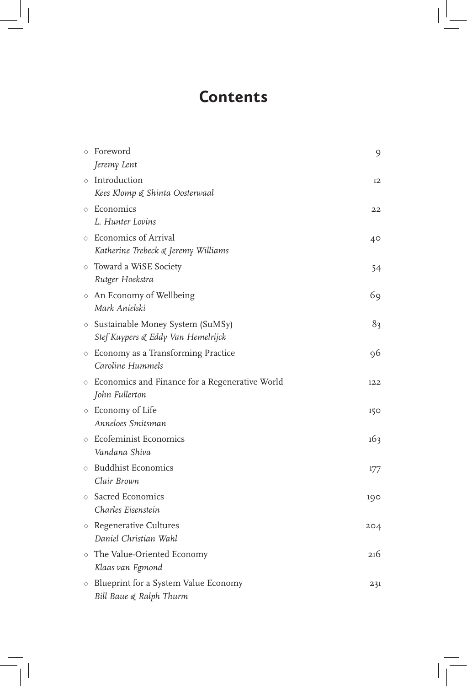# **Contents**

| $\Diamond$ Foreword<br>Jeremy Lent                                                | 9   |
|-----------------------------------------------------------------------------------|-----|
| $\diamond$ Introduction<br>Kees Klomp & Shinta Oosterwaal                         | 12  |
| $\Diamond$ Economics<br>L. Hunter Lovins                                          | 22  |
| ◇ Economics of Arrival<br>Katherine Trebeck & Jeremy Williams                     | 40  |
| $\diamond$ Toward a WiSE Society<br>Rutger Hoekstra                               | 54  |
| $\diamond$ An Economy of Wellbeing<br>Mark Anielski                               | 69  |
| $\diamond$ Sustainable Money System (SuMSy)<br>Stef Kuypers & Eddy Van Hemelrijck | 83  |
| $\diamond$ Economy as a Transforming Practice<br>Caroline Hummels                 | 96  |
| $\diamond$ Economics and Finance for a Regenerative World<br>John Fullerton       | 122 |
| $\diamond$ Economy of Life<br>Anneloes Smitsman                                   | 150 |
| $\diamond$ Ecofeminist Economics<br>Vandana Shiva                                 | 163 |
| $\diamond$ Buddhist Economics<br>Clair Brown                                      | 177 |
| $\diamond$ Sacred Economics<br>Charles Eisenstein                                 | 190 |
| $\diamond$ Regenerative Cultures<br>Daniel Christian Wahl                         | 204 |
| $\diamond$ The Value-Oriented Economy<br>Klaas van Egmond                         | 216 |
| $\diamond$ Blueprint for a System Value Economy<br>Bill Baue & Ralph Thurm        | 231 |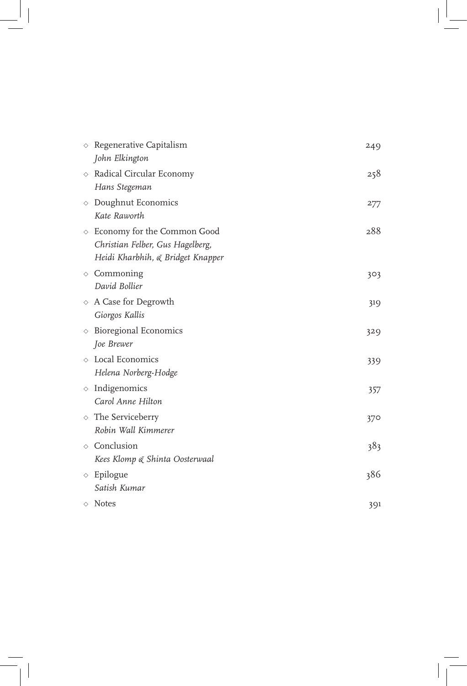| ♦ | Regenerative Capitalism<br>John Elkington                                                                       | 249 |
|---|-----------------------------------------------------------------------------------------------------------------|-----|
|   | ◇ Radical Circular Economy<br>Hans Stegeman                                                                     | 258 |
| ♦ | Doughnut Economics<br>Kate Raworth                                                                              | 277 |
|   | $\diamond$ Economy for the Common Good<br>Christian Felber, Gus Hagelberg,<br>Heidi Kharbhih, & Bridget Knapper | 288 |
|   | $\diamond$ Commoning<br>David Bollier                                                                           | 303 |
|   | $\diamond$ A Case for Degrowth<br>Giorgos Kallis                                                                | 319 |
|   | $\diamond$ Bioregional Economics<br>Joe Brewer                                                                  | 329 |
|   | ◇ Local Economics<br>Helena Norberg-Hodge                                                                       | 339 |
|   | $\diamond$ Indigenomics<br>Carol Anne Hilton                                                                    | 357 |
|   | $\diamond$ The Serviceberry<br>Robin Wall Kimmerer                                                              | 370 |
|   | ◇ Conclusion<br>Kees Klomp & Shinta Oosterwaal                                                                  | 383 |
|   | $\diamond$ Epilogue<br>Satish Kumar                                                                             | 386 |
|   | $\Diamond$ Notes                                                                                                | 391 |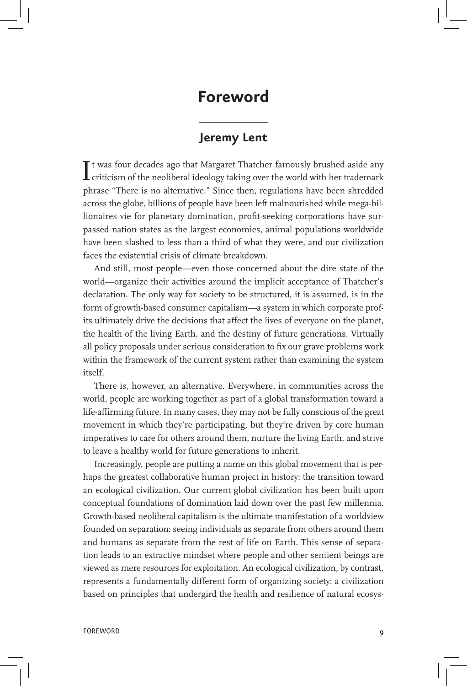## **Foreword**

## **Jeremy Lent**

 $\prod$ t was four decades ago that Margaret Thatcher famously brushed aside any criticism of the neoliberal ideology taking over the world with her trademark  $\blacksquare$  criticism of the neoliberal ideology taking over the world with her trademark phrase "There is no alternative." Since then, regulations have been shredded across the globe, billions of people have been left malnourished while mega-billionaires vie for planetary domination, profit-seeking corporations have surpassed nation states as the largest economies, animal populations worldwide have been slashed to less than a third of what they were, and our civilization faces the existential crisis of climate breakdown.

And still, most people—even those concerned about the dire state of the world—organize their activities around the implicit acceptance of Thatcher's declaration. The only way for society to be structured, it is assumed, is in the form of growth-based consumer capitalism—a system in which corporate profits ultimately drive the decisions that affect the lives of everyone on the planet, the health of the living Earth, and the destiny of future generations. Virtually all policy proposals under serious consideration to fix our grave problems work within the framework of the current system rather than examining the system itself.

There is, however, an alternative. Everywhere, in communities across the world, people are working together as part of a global transformation toward a life-affirming future. In many cases, they may not be fully conscious of the great movement in which they're participating, but they're driven by core human imperatives to care for others around them, nurture the living Earth, and strive to leave a healthy world for future generations to inherit.

Increasingly, people are putting a name on this global movement that is perhaps the greatest collaborative human project in history: the transition toward an ecological civilization. Our current global civilization has been built upon conceptual foundations of domination laid down over the past few millennia. Growth-based neoliberal capitalism is the ultimate manifestation of a worldview founded on separation: seeing individuals as separate from others around them and humans as separate from the rest of life on Earth. This sense of separation leads to an extractive mindset where people and other sentient beings are viewed as mere resources for exploitation. An ecological civilization, by contrast, represents a fundamentally different form of organizing society: a civilization based on principles that undergird the health and resilience of natural ecosys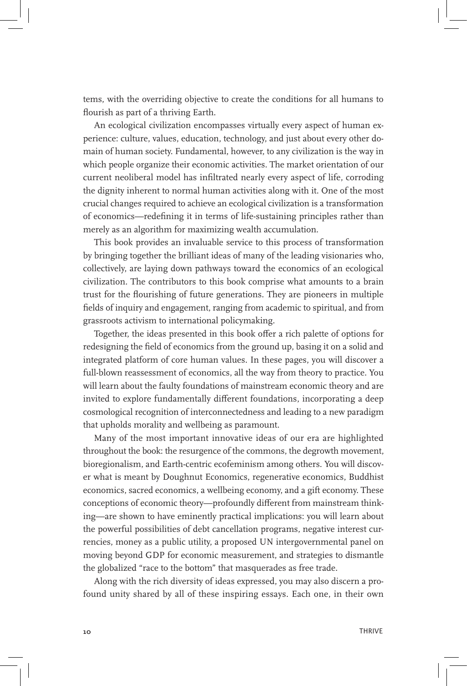tems, with the overriding objective to create the conditions for all humans to flourish as part of a thriving Earth.

An ecological civilization encompasses virtually every aspect of human experience: culture, values, education, technology, and just about every other domain of human society. Fundamental, however, to any civilization is the way in which people organize their economic activities. The market orientation of our current neoliberal model has infiltrated nearly every aspect of life, corroding the dignity inherent to normal human activities along with it. One of the most crucial changes required to achieve an ecological civilization is a transformation of economics—redefining it in terms of life-sustaining principles rather than merely as an algorithm for maximizing wealth accumulation.

This book provides an invaluable service to this process of transformation by bringing together the brilliant ideas of many of the leading visionaries who, collectively, are laying down pathways toward the economics of an ecological civilization. The contributors to this book comprise what amounts to a brain trust for the flourishing of future generations. They are pioneers in multiple fields of inquiry and engagement, ranging from academic to spiritual, and from grassroots activism to international policymaking.

Together, the ideas presented in this book offer a rich palette of options for redesigning the field of economics from the ground up, basing it on a solid and integrated platform of core human values. In these pages, you will discover a full-blown reassessment of economics, all the way from theory to practice. You will learn about the faulty foundations of mainstream economic theory and are invited to explore fundamentally different foundations, incorporating a deep cosmological recognition of interconnectedness and leading to a new paradigm that upholds morality and wellbeing as paramount.

Many of the most important innovative ideas of our era are highlighted throughout the book: the resurgence of the commons, the degrowth movement, bioregionalism, and Earth-centric ecofeminism among others. You will discover what is meant by Doughnut Economics, regenerative economics, Buddhist economics, sacred economics, a wellbeing economy, and a gift economy. These conceptions of economic theory—profoundly different from mainstream thinking—are shown to have eminently practical implications: you will learn about the powerful possibilities of debt cancellation programs, negative interest currencies, money as a public utility, a proposed UN intergovernmental panel on moving beyond GDP for economic measurement, and strategies to dismantle the globalized "race to the bottom" that masquerades as free trade.

Along with the rich diversity of ideas expressed, you may also discern a profound unity shared by all of these inspiring essays. Each one, in their own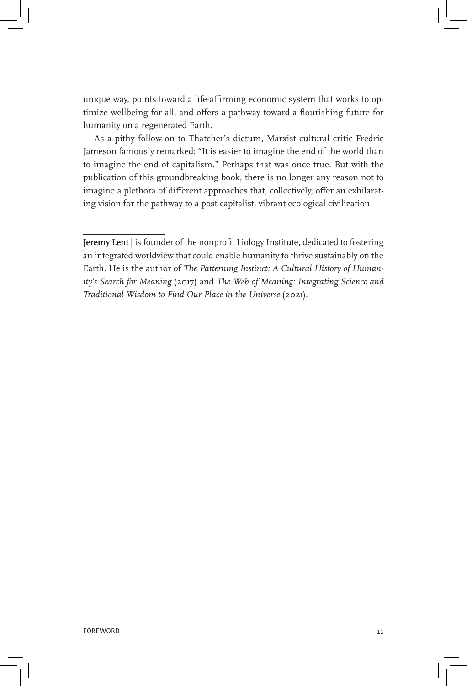unique way, points toward a life-affirming economic system that works to optimize wellbeing for all, and offers a pathway toward a flourishing future for humanity on a regenerated Earth.

As a pithy follow-on to Thatcher's dictum, Marxist cultural critic Fredric Jameson famously remarked: "It is easier to imagine the end of the world than to imagine the end of capitalism." Perhaps that was once true. But with the publication of this groundbreaking book, there is no longer any reason not to imagine a plethora of different approaches that, collectively, offer an exhilarating vision for the pathway to a post-capitalist, vibrant ecological civilization.

**Jeremy Lent** | is founder of the nonprofit Liology Institute, dedicated to fostering an integrated worldview that could enable humanity to thrive sustainably on the Earth. He is the author of *The Patterning Instinct: A Cultural History of Humanity's Search for Meaning* (2017) and *The Web of Meaning: Integrating Science and Traditional Wisdom to Find Our Place in the Universe* (2021).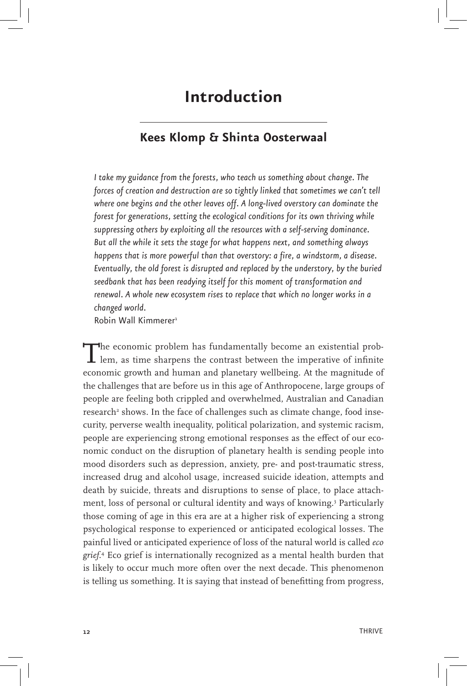## **Introduction**

## **Kees Klomp & Shinta Oosterwaal**

*I take my guidance from the forests, who teach us something about change. The forces of creation and destruction are so tightly linked that sometimes we can't tell where one begins and the other leaves off. A long-lived overstory can dominate the forest for generations, setting the ecological conditions for its own thriving while suppressing others by exploiting all the resources with a self-serving dominance. But all the while it sets the stage for what happens next, and something always happens that is more powerful than that overstory: a fire, a windstorm, a disease. Eventually, the old forest is disrupted and replaced by the understory, by the buried seedbank that has been readying itself for this moment of transformation and renewal. A whole new ecosystem rises to replace that which no longer works in a changed world.*

Robin Wall Kimmerer<sup>1</sup>

The economic problem has fundamentally become an existential prob-lem, as time sharpens the contrast between the imperative of infinite economic growth and human and planetary wellbeing. At the magnitude of the challenges that are before us in this age of Anthropocene, large groups of people are feeling both crippled and overwhelmed, Australian and Canadian research<sup>2</sup> shows. In the face of challenges such as climate change, food insecurity, perverse wealth inequality, political polarization, and systemic racism, people are experiencing strong emotional responses as the effect of our economic conduct on the disruption of planetary health is sending people into mood disorders such as depression, anxiety, pre- and post-traumatic stress, increased drug and alcohol usage, increased suicide ideation, attempts and death by suicide, threats and disruptions to sense of place, to place attachment, loss of personal or cultural identity and ways of knowing.3 Particularly those coming of age in this era are at a higher risk of experiencing a strong psychological response to experienced or anticipated ecological losses. The painful lived or anticipated experience of loss of the natural world is called *eco grief*. 4 Eco grief is internationally recognized as a mental health burden that is likely to occur much more often over the next decade. This phenomenon is telling us something. It is saying that instead of benefitting from progress,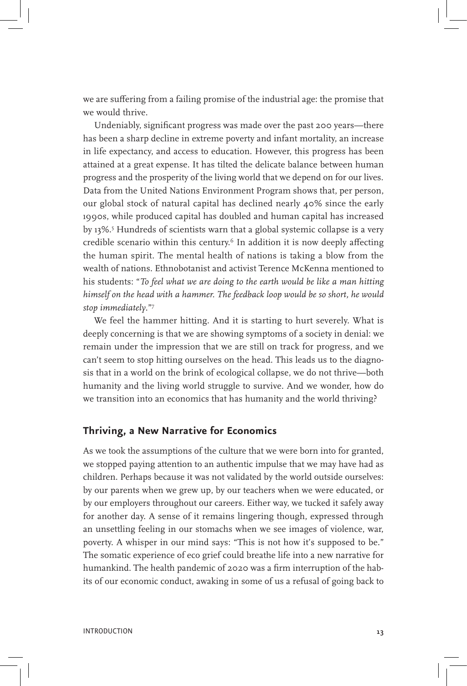we are suffering from a failing promise of the industrial age: the promise that we would thrive.

Undeniably, significant progress was made over the past 200 years—there has been a sharp decline in extreme poverty and infant mortality, an increase in life expectancy, and access to education. However, this progress has been attained at a great expense. It has tilted the delicate balance between human progress and the prosperity of the living world that we depend on for our lives. Data from the United Nations Environment Program shows that, per person, our global stock of natural capital has declined nearly 40% since the early 1990s, while produced capital has doubled and human capital has increased by 13%.5 Hundreds of scientists warn that a global systemic collapse is a very credible scenario within this century.<sup>6</sup> In addition it is now deeply affecting the human spirit. The mental health of nations is taking a blow from the wealth of nations. Ethnobotanist and activist Terence McKenna mentioned to his students: "*To feel what we are doing to the earth would be like a man hitting himself on the head with a hammer. The feedback loop would be so short, he would stop immediately*."7

We feel the hammer hitting. And it is starting to hurt severely. What is deeply concerning is that we are showing symptoms of a society in denial: we remain under the impression that we are still on track for progress, and we can't seem to stop hitting ourselves on the head. This leads us to the diagnosis that in a world on the brink of ecological collapse, we do not thrive—both humanity and the living world struggle to survive. And we wonder, how do we transition into an economics that has humanity and the world thriving?

#### **Thriving, a New Narrative for Economics**

As we took the assumptions of the culture that we were born into for granted, we stopped paying attention to an authentic impulse that we may have had as children. Perhaps because it was not validated by the world outside ourselves: by our parents when we grew up, by our teachers when we were educated, or by our employers throughout our careers. Either way, we tucked it safely away for another day. A sense of it remains lingering though, expressed through an unsettling feeling in our stomachs when we see images of violence, war, poverty. A whisper in our mind says: "This is not how it's supposed to be." The somatic experience of eco grief could breathe life into a new narrative for humankind. The health pandemic of 2020 was a firm interruption of the habits of our economic conduct, awaking in some of us a refusal of going back to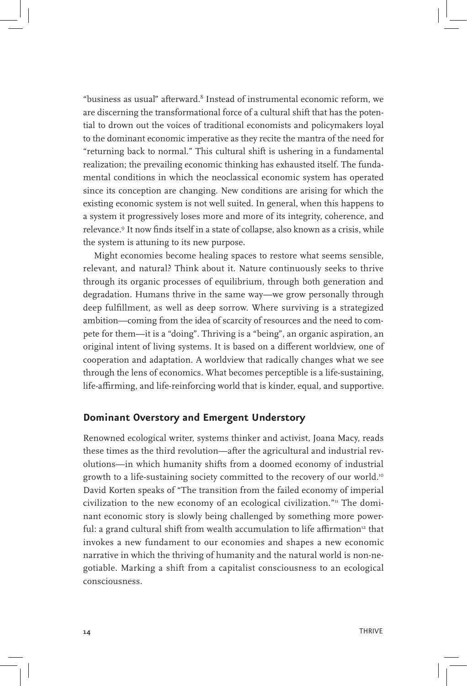"business as usual" afterward. $8$  Instead of instrumental economic reform, we are discerning the transformational force of a cultural shift that has the potential to drown out the voices of traditional economists and policymakers loyal to the dominant economic imperative as they recite the mantra of the need for "returning back to normal." This cultural shift is ushering in a fundamental realization; the prevailing economic thinking has exhausted itself. The fundamental conditions in which the neoclassical economic system has operated since its conception are changing. New conditions are arising for which the existing economic system is not well suited. In general, when this happens to a system it progressively loses more and more of its integrity, coherence, and relevance.9 It now finds itself in a state of collapse, also known as a crisis, while the system is attuning to its new purpose.

Might economies become healing spaces to restore what seems sensible, relevant, and natural? Think about it. Nature continuously seeks to thrive through its organic processes of equilibrium, through both generation and degradation. Humans thrive in the same way—we grow personally through deep fulfillment, as well as deep sorrow. Where surviving is a strategized ambition—coming from the idea of scarcity of resources and the need to compete for them—it is a "doing". Thriving is a "being", an organic aspiration, an original intent of living systems. It is based on a different worldview, one of cooperation and adaptation. A worldview that radically changes what we see through the lens of economics. What becomes perceptible is a life-sustaining, life-affirming, and life-reinforcing world that is kinder, equal, and supportive.

#### **Dominant Overstory and Emergent Understory**

Renowned ecological writer, systems thinker and activist, Joana Macy, reads these times as the third revolution—after the agricultural and industrial revolutions—in which humanity shifts from a doomed economy of industrial growth to a life-sustaining society committed to the recovery of our world.<sup>10</sup> David Korten speaks of "The transition from the failed economy of imperial civilization to the new economy of an ecological civilization."<sup>11</sup> The dominant economic story is slowly being challenged by something more powerful: a grand cultural shift from wealth accumulation to life affirmation<sup>12</sup> that invokes a new fundament to our economies and shapes a new economic narrative in which the thriving of humanity and the natural world is non-negotiable. Marking a shift from a capitalist consciousness to an ecological consciousness.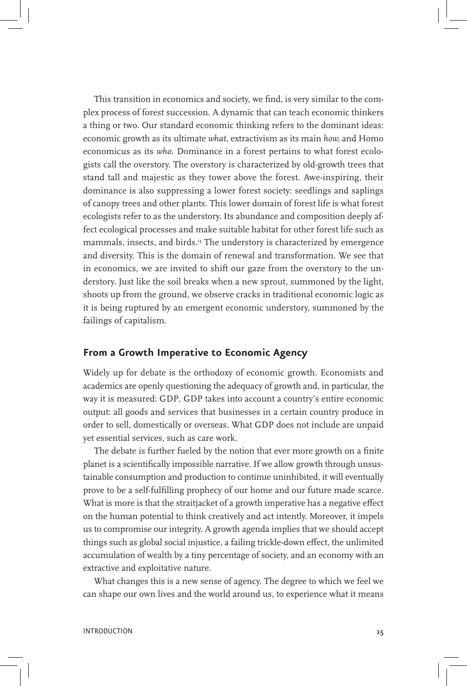This transition in economics and society, we find, is very similar to the complex process of forest succession. A dynamic that can teach economic thinkers a thing or two. Our standard economic thinking refers to the dominant ideas: economic growth as its ultimate *what*, extractivism as its main *how,* and Homo economicus as its *who*. Dominance in a forest pertains to what forest ecologists call the overstory. The overstory is characterized by old-growth trees that stand tall and majestic as they tower above the forest. Awe-inspiring, their dominance is also suppressing a lower forest society: seedlings and saplings of canopy trees and other plants. This lower domain of forest life is what forest ecologists refer to as the understory. Its abundance and composition deeply affect ecological processes and make suitable habitat for other forest life such as mammals, insects, and birds.13 The understory is characterized by emergence and diversity. This is the domain of renewal and transformation. We see that in economics, we are invited to shift our gaze from the overstory to the understory. Just like the soil breaks when a new sprout, summoned by the light, shoots up from the ground, we observe cracks in traditional economic logic as it is being ruptured by an emergent economic understory, summoned by the failings of capitalism.

### **From a Growth Imperative to Economic Agency**

Widely up for debate is the orthodoxy of economic growth. Economists and academics are openly questioning the adequacy of growth and, in particular, the way it is measured: GDP. GDP takes into account a country's entire economic output: all goods and services that businesses in a certain country produce in order to sell, domestically or overseas. What GDP does not include are unpaid yet essential services, such as care work.

The debate is further fueled by the notion that ever more growth on a finite planet is a scientifically impossible narrative. If we allow growth through unsustainable consumption and production to continue uninhibited, it will eventually prove to be a self-fulfilling prophecy of our home and our future made scarce. What is more is that the straitjacket of a growth imperative has a negative effect on the human potential to think creatively and act intently. Moreover, it impels us to compromise our integrity. A growth agenda implies that we should accept things such as global social injustice, a failing trickle-down effect, the unlimited accumulation of wealth by a tiny percentage of society, and an economy with an extractive and exploitative nature.

What changes this is a new sense of agency. The degree to which we feel we can shape our own lives and the world around us, to experience what it means